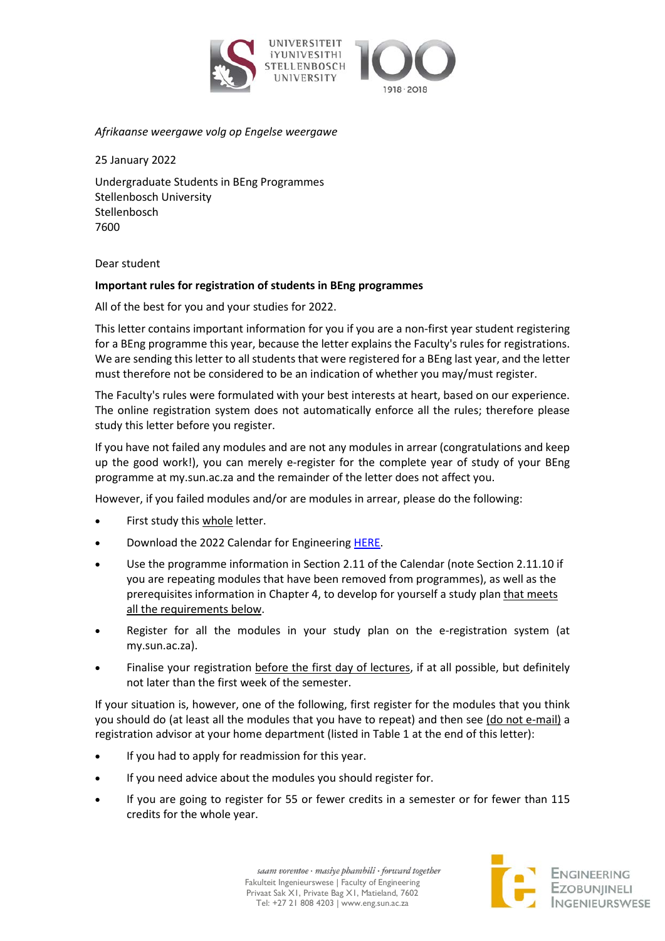



### *Afrikaanse weergawe volg op Engelse weergawe*

25 January 2022

Undergraduate Students in BEng Programmes Stellenbosch University Stellenbosch 7600

Dear student

## **Important rules for registration of students in BEng programmes**

All of the best for you and your studies for 2022.

This letter contains important information for you if you are a non-first year student registering for a BEng programme this year, because the letter explains the Faculty's rules for registrations. We are sending this letter to all students that were registered for a BEng last year, and the letter must therefore not be considered to be an indication of whether you may/must register.

The Faculty's rules were formulated with your best interests at heart, based on our experience. The online registration system does not automatically enforce all the rules; therefore please study this letter before you register.

If you have not failed any modules and are not any modules in arrear (congratulations and keep up the good work!), you can merely e-register for the complete year of study of your BEng programme at my.sun.ac.za and the remainder of the letter does not affect you.

However, if you failed modules and/or are modules in arrear, please do the following:

- First study this whole letter.
- Download the 2022 Calendar for Engineering [HERE.](http://www.sun.ac.za/english/Documents/Yearbooks/Current/Engineering.pdf)
- Use the programme information in Section 2.11 of the Calendar (note Section 2.11.10 if you are repeating modules that have been removed from programmes), as well as the prerequisites information in Chapter 4, to develop for yourself a study plan that meets all the requirements below.
- Register for all the modules in your study plan on the e-registration system (at my.sun.ac.za).
- Finalise your registration before the first day of lectures, if at all possible, but definitely not later than the first week of the semester.

If your situation is, however, one of the following, first register for the modules that you think you should do (at least all the modules that you have to repeat) and then see (do not e-mail) a registration advisor at your home department (listed in Table 1 at the end of this letter):

- If you had to apply for readmission for this year.
- If you need advice about the modules you should register for.
- If you are going to register for 55 or fewer credits in a semester or for fewer than 115 credits for the whole year.

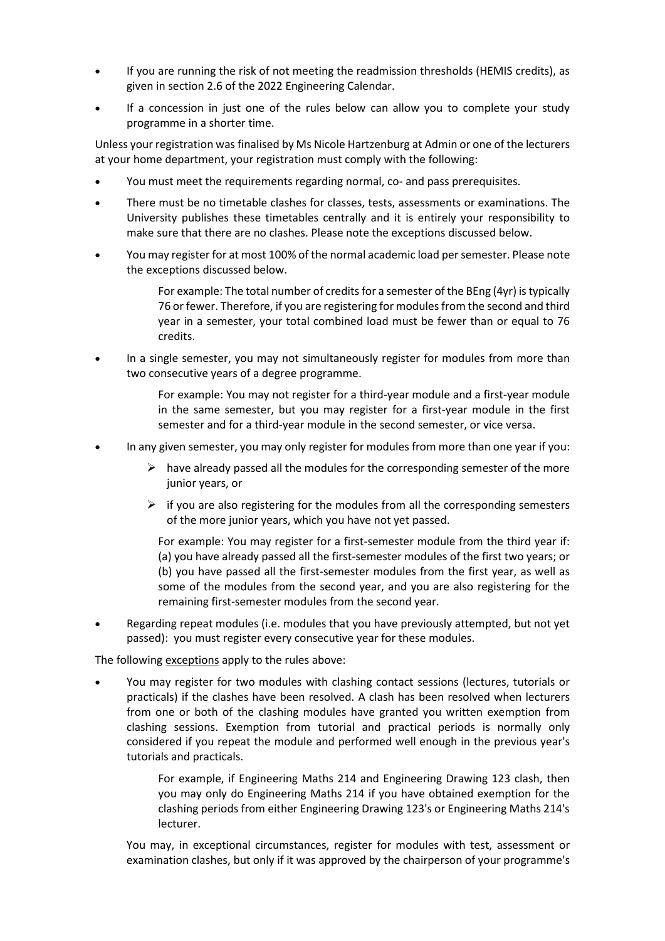- If you are running the risk of not meeting the readmission thresholds (HEMIS credits), as given in section 2.6 of the 2022 Engineering Calendar.
- If a concession in just one of the rules below can allow you to complete your study programme in a shorter time.

Unless your registration was finalised by Ms Nicole Hartzenburg at Admin or one of the lecturers at your home department, your registration must comply with the following:

- You must meet the requirements regarding normal, co- and pass prerequisites.
- There must be no timetable clashes for classes, tests, assessments or examinations. The University publishes these timetables centrally and it is entirely your responsibility to make sure that there are no clashes. Please note the exceptions discussed below.
- You may register for at most 100% of the normal academic load per semester. Please note the exceptions discussed below.
	- For example: The total number of credits for a semester of the BEng (4yr) is typically 76 or fewer. Therefore, if you are registering for modules from the second and third year in a semester, your total combined load must be fewer than or equal to 76 credits.
- In a single semester, you may not simultaneously register for modules from more than two consecutive years of a degree programme.
	- For example: You may not register for a third-year module and a first-year module in the same semester, but you may register for a first-year module in the first semester and for a third-year module in the second semester, or vice versa.
- In any given semester, you may only register for modules from more than one year if you:
	- $\triangleright$  have already passed all the modules for the corresponding semester of the more junior years, or
	- $\triangleright$  if you are also registering for the modules from all the corresponding semesters of the more junior years, which you have not yet passed.

For example: You may register for a first-semester module from the third year if: (a) you have already passed all the first-semester modules of the first two years; or (b) you have passed all the first-semester modules from the first year, as well as some of the modules from the second year, and you are also registering for the remaining first-semester modules from the second year.

• Regarding repeat modules (i.e. modules that you have previously attempted, but not yet passed): you must register every consecutive year for these modules.

The following exceptions apply to the rules above:

• You may register for two modules with clashing contact sessions (lectures, tutorials or practicals) if the clashes have been resolved. A clash has been resolved when lecturers from one or both of the clashing modules have granted you written exemption from clashing sessions. Exemption from tutorial and practical periods is normally only considered if you repeat the module and performed well enough in the previous year's tutorials and practicals.

> For example, if Engineering Maths 214 and Engineering Drawing 123 clash, then you may only do Engineering Maths 214 if you have obtained exemption for the clashing periods from either Engineering Drawing 123's or Engineering Maths 214's lecturer.

You may, in exceptional circumstances, register for modules with test, assessment or examination clashes, but only if it was approved by the chairperson of your programme's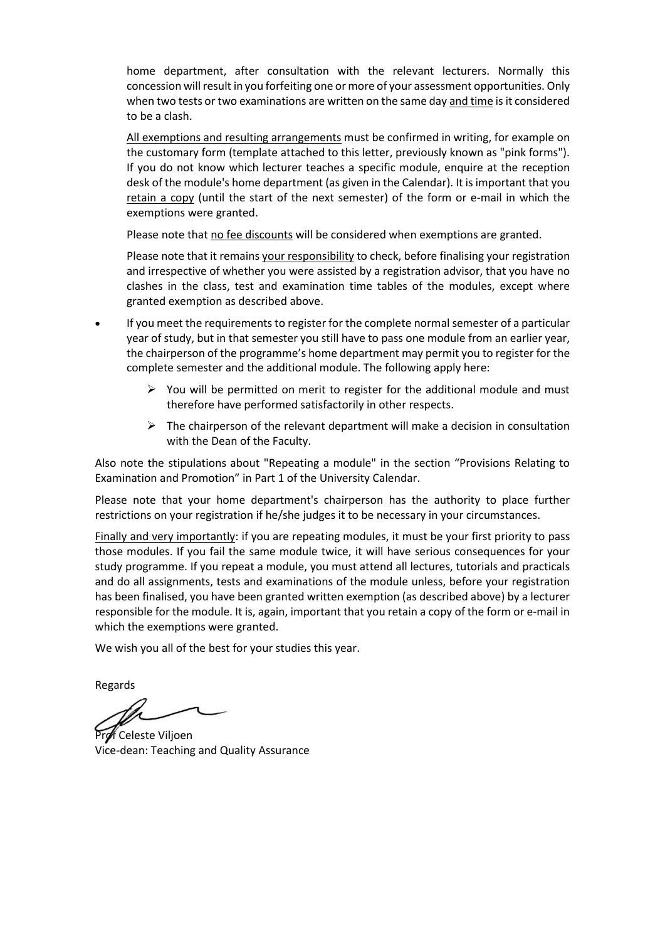home department, after consultation with the relevant lecturers. Normally this concession will result in you forfeiting one or more of your assessment opportunities. Only when two tests or two examinations are written on the same day and time is it considered to be a clash.

All exemptions and resulting arrangements must be confirmed in writing, for example on the customary form (template attached to this letter, previously known as "pink forms"). If you do not know which lecturer teaches a specific module, enquire at the reception desk of the module's home department (as given in the Calendar). It is important that you retain a copy (until the start of the next semester) of the form or e-mail in which the exemptions were granted.

Please note that no fee discounts will be considered when exemptions are granted.

Please note that it remains your responsibility to check, before finalising your registration and irrespective of whether you were assisted by a registration advisor, that you have no clashes in the class, test and examination time tables of the modules, except where granted exemption as described above.

- If you meet the requirements to register for the complete normal semester of a particular year of study, but in that semester you still have to pass one module from an earlier year, the chairperson of the programme's home department may permit you to register for the complete semester and the additional module. The following apply here:
	- $\triangleright$  You will be permitted on merit to register for the additional module and must therefore have performed satisfactorily in other respects.
	- $\triangleright$  The chairperson of the relevant department will make a decision in consultation with the Dean of the Faculty.

Also note the stipulations about "Repeating a module" in the section "Provisions Relating to Examination and Promotion" in Part 1 of the University Calendar.

Please note that your home department's chairperson has the authority to place further restrictions on your registration if he/she judges it to be necessary in your circumstances.

Finally and very importantly: if you are repeating modules, it must be your first priority to pass those modules. If you fail the same module twice, it will have serious consequences for your study programme. If you repeat a module, you must attend all lectures, tutorials and practicals and do all assignments, tests and examinations of the module unless, before your registration has been finalised, you have been granted written exemption (as described above) by a lecturer responsible for the module. It is, again, important that you retain a copy of the form or e-mail in which the exemptions were granted.

We wish you all of the best for your studies this year.

Regards

Prof Celeste Viljoen Vice-dean: Teaching and Quality Assurance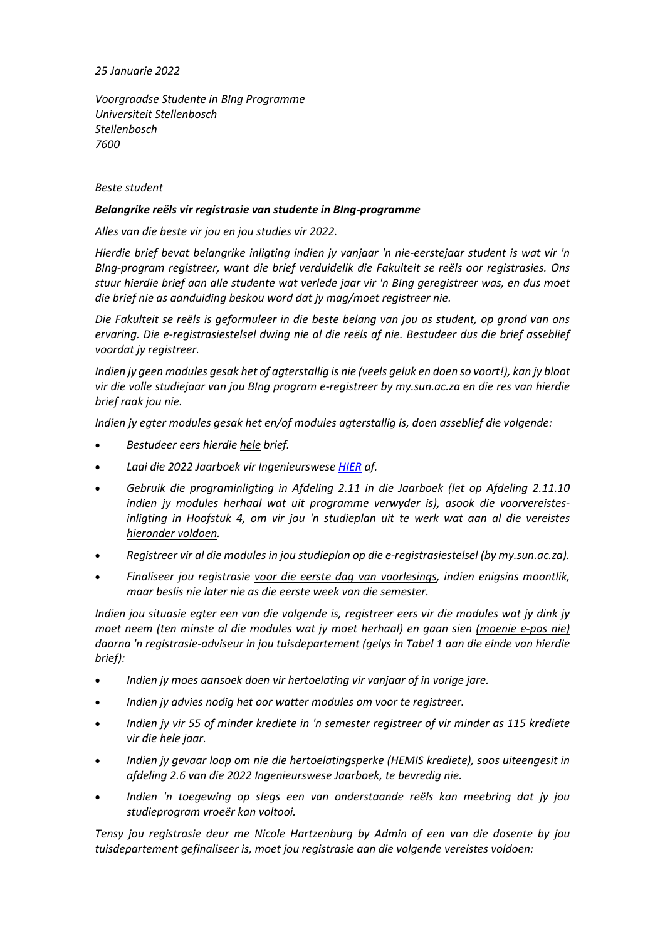### *25 Januarie 2022*

*Voorgraadse Studente in BIng Programme Universiteit Stellenbosch Stellenbosch 7600*

### *Beste student*

#### *Belangrike reëls vir registrasie van studente in BIng-programme*

*Alles van die beste vir jou en jou studies vir 2022.*

*Hierdie brief bevat belangrike inligting indien jy vanjaar 'n nie-eerstejaar student is wat vir 'n BIng-program registreer, want die brief verduidelik die Fakulteit se reëls oor registrasies. Ons stuur hierdie brief aan alle studente wat verlede jaar vir 'n BIng geregistreer was, en dus moet die brief nie as aanduiding beskou word dat jy mag/moet registreer nie.*

*Die Fakulteit se reëls is geformuleer in die beste belang van jou as student, op grond van ons ervaring. Die e-registrasiestelsel dwing nie al die reëls af nie. Bestudeer dus die brief asseblief voordat jy registreer.*

*Indien jy geen modules gesak het of agterstallig is nie (veels geluk en doen so voort!), kan jy bloot vir die volle studiejaar van jou BIng program e-registreer by my.sun.ac.za en die res van hierdie brief raak jou nie.* 

*Indien jy egter modules gesak het en/of modules agterstallig is, doen asseblief die volgende:*

- *Bestudeer eers hierdie hele brief.*
- *Laai die 2022 Jaarboek vir Ingenieurswese [HIER](http://www.sun.ac.za/english/Documents/Yearbooks/Current/Ingenieurswese.pdf) af.*
- *Gebruik die programinligting in Afdeling 2.11 in die Jaarboek (let op Afdeling 2.11.10 indien jy modules herhaal wat uit programme verwyder is), asook die voorvereistesinligting in Hoofstuk 4, om vir jou 'n studieplan uit te werk wat aan al die vereistes hieronder voldoen.*
- *Registreer vir al die modules in jou studieplan op die e-registrasiestelsel (by my.sun.ac.za).*
- *Finaliseer jou registrasie voor die eerste dag van voorlesings, indien enigsins moontlik, maar beslis nie later nie as die eerste week van die semester.*

*Indien jou situasie egter een van die volgende is, registreer eers vir die modules wat jy dink jy moet neem (ten minste al die modules wat jy moet herhaal) en gaan sien (moenie e-pos nie) daarna 'n registrasie-adviseur in jou tuisdepartement (gelys in Tabel 1 aan die einde van hierdie brief):*

- *Indien jy moes aansoek doen vir hertoelating vir vanjaar of in vorige jare.*
- *Indien jy advies nodig het oor watter modules om voor te registreer.*
- *Indien jy vir 55 of minder krediete in 'n semester registreer of vir minder as 115 krediete vir die hele jaar.*
- *Indien jy gevaar loop om nie die hertoelatingsperke (HEMIS krediete), soos uiteengesit in afdeling 2.6 van die 2022 Ingenieurswese Jaarboek, te bevredig nie.*
- *Indien 'n toegewing op slegs een van onderstaande reëls kan meebring dat jy jou studieprogram vroeër kan voltooi.*

*Tensy jou registrasie deur me Nicole Hartzenburg by Admin of een van die dosente by jou tuisdepartement gefinaliseer is, moet jou registrasie aan die volgende vereistes voldoen:*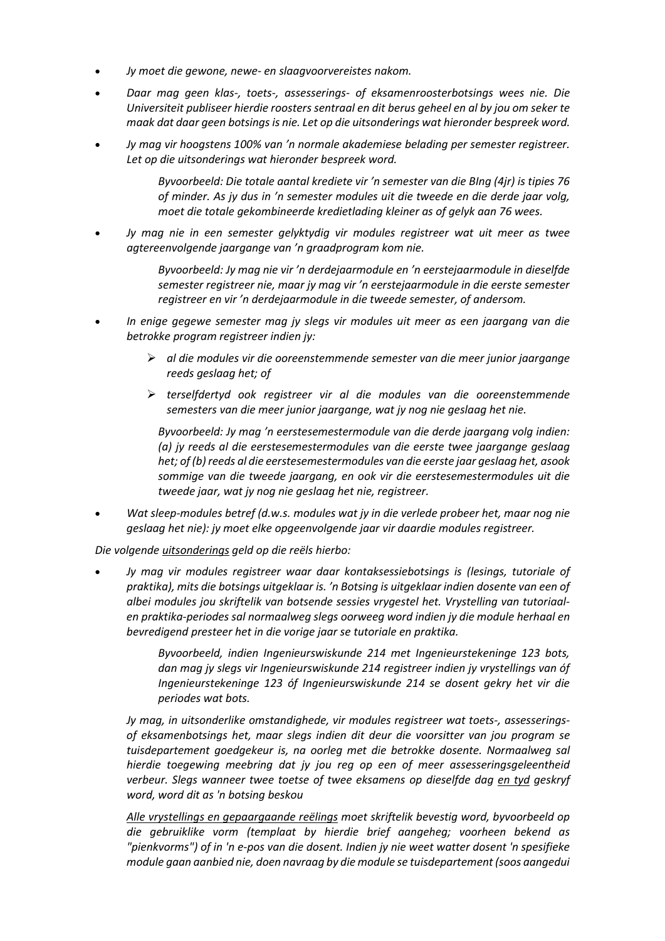- *Jy moet die gewone, newe- en slaagvoorvereistes nakom.*
- *Daar mag geen klas-, toets-, assesserings- of eksamenroosterbotsings wees nie. Die Universiteit publiseer hierdie roosters sentraal en dit berus geheel en al by jou om seker te maak dat daar geen botsings is nie. Let op die uitsonderings wat hieronder bespreek word.*
- *Jy mag vir hoogstens 100% van 'n normale akademiese belading per semester registreer. Let op die uitsonderings wat hieronder bespreek word.*

*Byvoorbeeld: Die totale aantal krediete vir 'n semester van die BIng (4jr) is tipies 76 of minder. As jy dus in 'n semester modules uit die tweede en die derde jaar volg, moet die totale gekombineerde kredietlading kleiner as of gelyk aan 76 wees.* 

• *Jy mag nie in een semester gelyktydig vir modules registreer wat uit meer as twee agtereenvolgende jaargange van 'n graadprogram kom nie.*

> *Byvoorbeeld: Jy mag nie vir 'n derdejaarmodule en 'n eerstejaarmodule in dieselfde semester registreer nie, maar jy mag vir 'n eerstejaarmodule in die eerste semester registreer en vir 'n derdejaarmodule in die tweede semester, of andersom.*

- *In enige gegewe semester mag jy slegs vir modules uit meer as een jaargang van die betrokke program registreer indien jy:*
	- *al die modules vir die ooreenstemmende semester van die meer junior jaargange reeds geslaag het; of*
	- *terselfdertyd ook registreer vir al die modules van die ooreenstemmende semesters van die meer junior jaargange, wat jy nog nie geslaag het nie.*

*Byvoorbeeld: Jy mag 'n eerstesemestermodule van die derde jaargang volg indien: (a) jy reeds al die eerstesemestermodules van die eerste twee jaargange geslaag het; of (b) reeds al die eerstesemestermodules van die eerste jaar geslaag het, asook sommige van die tweede jaargang, en ook vir die eerstesemestermodules uit die tweede jaar, wat jy nog nie geslaag het nie, registreer.*

• *Wat sleep-modules betref (d.w.s. modules wat jy in die verlede probeer het, maar nog nie geslaag het nie): jy moet elke opgeenvolgende jaar vir daardie modules registreer.*

#### *Die volgende uitsonderings geld op die reëls hierbo:*

• *Jy mag vir modules registreer waar daar kontaksessiebotsings is (lesings, tutoriale of praktika), mits die botsings uitgeklaar is. 'n Botsing is uitgeklaar indien dosente van een of albei modules jou skriftelik van botsende sessies vrygestel het. Vrystelling van tutoriaalen praktika-periodes sal normaalweg slegs oorweeg word indien jy die module herhaal en bevredigend presteer het in die vorige jaar se tutoriale en praktika.*

> *Byvoorbeeld, indien Ingenieurswiskunde 214 met Ingenieurstekeninge 123 bots, dan mag jy slegs vir Ingenieurswiskunde 214 registreer indien jy vrystellings van óf Ingenieurstekeninge 123 óf Ingenieurswiskunde 214 se dosent gekry het vir die periodes wat bots.*

*Jy mag, in uitsonderlike omstandighede, vir modules registreer wat toets-, assesseringsof eksamenbotsings het, maar slegs indien dit deur die voorsitter van jou program se tuisdepartement goedgekeur is, na oorleg met die betrokke dosente. Normaalweg sal hierdie toegewing meebring dat jy jou reg op een of meer assesseringsgeleentheid verbeur. Slegs wanneer twee toetse of twee eksamens op dieselfde dag en tyd geskryf word, word dit as 'n botsing beskou*

*Alle vrystellings en gepaargaande reëlings moet skriftelik bevestig word, byvoorbeeld op die gebruiklike vorm (templaat by hierdie brief aangeheg; voorheen bekend as "pienkvorms") of in 'n e-pos van die dosent. Indien jy nie weet watter dosent 'n spesifieke module gaan aanbied nie, doen navraag by die module se tuisdepartement (soos aangedui*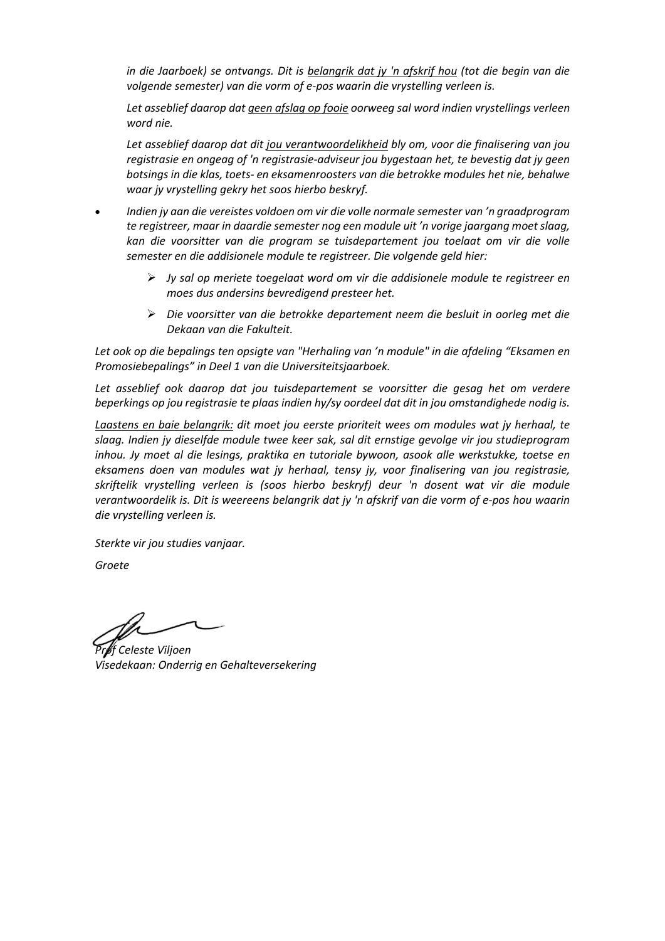*in die Jaarboek) se ontvangs. Dit is belangrik dat jy 'n afskrif hou (tot die begin van die volgende semester) van die vorm of e-pos waarin die vrystelling verleen is.*

*Let asseblief daarop dat geen afslag op fooie oorweeg sal word indien vrystellings verleen word nie.*

*Let asseblief daarop dat dit jou verantwoordelikheid bly om, voor die finalisering van jou registrasie en ongeag of 'n registrasie-adviseur jou bygestaan het, te bevestig dat jy geen botsings in die klas, toets- en eksamenroosters van die betrokke modules het nie, behalwe waar jy vrystelling gekry het soos hierbo beskryf.* 

- *Indien jy aan die vereistes voldoen om vir die volle normale semester van 'n graadprogram te registreer, maar in daardie semester nog een module uit 'n vorige jaargang moet slaag, kan die voorsitter van die program se tuisdepartement jou toelaat om vir die volle semester en die addisionele module te registreer. Die volgende geld hier:*
	- *Jy sal op meriete toegelaat word om vir die addisionele module te registreer en moes dus andersins bevredigend presteer het.*
	- *Die voorsitter van die betrokke departement neem die besluit in oorleg met die Dekaan van die Fakulteit.*

*Let ook op die bepalings ten opsigte van "Herhaling van 'n module" in die afdeling "Eksamen en Promosiebepalings" in Deel 1 van die Universiteitsjaarboek.*

*Let asseblief ook daarop dat jou tuisdepartement se voorsitter die gesag het om verdere beperkings op jou registrasie te plaas indien hy/sy oordeel dat dit in jou omstandighede nodig is.*

*Laastens en baie belangrik: dit moet jou eerste prioriteit wees om modules wat jy herhaal, te slaag. Indien jy dieselfde module twee keer sak, sal dit ernstige gevolge vir jou studieprogram inhou. Jy moet al die lesings, praktika en tutoriale bywoon, asook alle werkstukke, toetse en eksamens doen van modules wat jy herhaal, tensy jy, voor finalisering van jou registrasie, skriftelik vrystelling verleen is (soos hierbo beskryf) deur 'n dosent wat vir die module verantwoordelik is. Dit is weereens belangrik dat jy 'n afskrif van die vorm of e-pos hou waarin die vrystelling verleen is.* 

*Sterkte vir jou studies vanjaar.*

*Groete*

*Prof Celeste Viljoen Visedekaan: Onderrig en Gehalteversekering*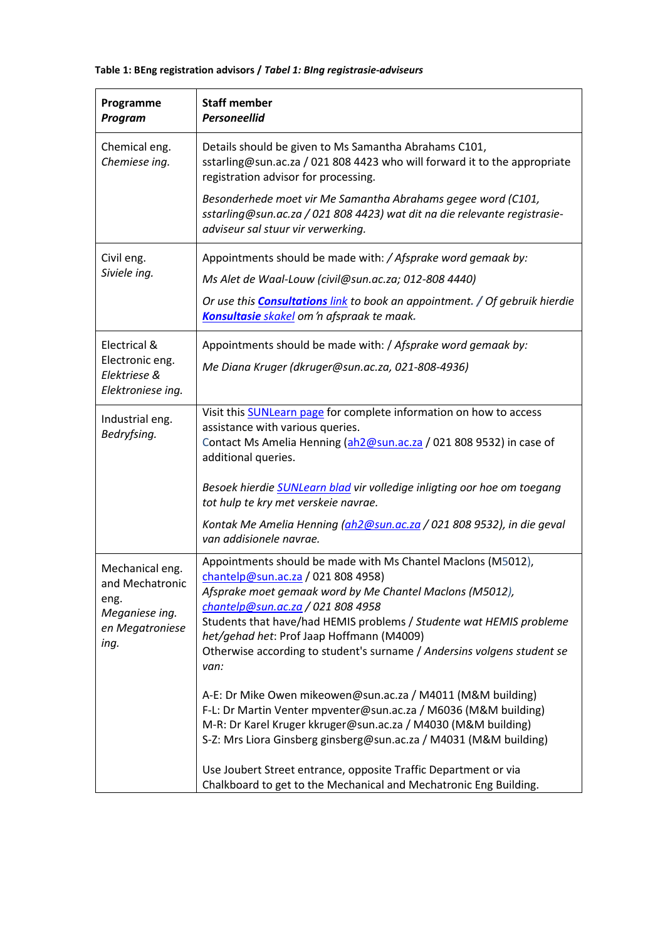## **Table 1: BEng registration advisors /** *Tabel 1: BIng registrasie-adviseurs*

| Programme<br>Program                                                                    | <b>Staff member</b><br><b>Personeellid</b>                                                                                                                                                                                                                                                                                                                                                                 |
|-----------------------------------------------------------------------------------------|------------------------------------------------------------------------------------------------------------------------------------------------------------------------------------------------------------------------------------------------------------------------------------------------------------------------------------------------------------------------------------------------------------|
| Chemical eng.<br>Chemiese ing.                                                          | Details should be given to Ms Samantha Abrahams C101,<br>sstarling@sun.ac.za / 021 808 4423 who will forward it to the appropriate<br>registration advisor for processing.                                                                                                                                                                                                                                 |
|                                                                                         | Besonderhede moet vir Me Samantha Abrahams gegee word (C101,<br>sstarling@sun.ac.za / 021 808 4423) wat dit na die relevante registrasie-<br>adviseur sal stuur vir verwerking.                                                                                                                                                                                                                            |
| Civil eng.                                                                              | Appointments should be made with: / Afsprake word gemaak by:                                                                                                                                                                                                                                                                                                                                               |
| Siviele ing.                                                                            | Ms Alet de Waal-Louw (civil@sun.ac.za; 012-808 4440)                                                                                                                                                                                                                                                                                                                                                       |
|                                                                                         | Or use this <b>Consultations</b> link to book an appointment. / Of gebruik hierdie<br>Konsultasie skakel om 'n afspraak te maak.                                                                                                                                                                                                                                                                           |
| Electrical &                                                                            | Appointments should be made with: / Afsprake word gemaak by:                                                                                                                                                                                                                                                                                                                                               |
| Electronic eng.<br>Elektriese &<br>Elektroniese ing.                                    | Me Diana Kruger (dkruger@sun.ac.za, 021-808-4936)                                                                                                                                                                                                                                                                                                                                                          |
| Industrial eng.<br>Bedryfsing.                                                          | Visit this <b>SUNLearn page</b> for complete information on how to access<br>assistance with various queries.<br>Contact Ms Amelia Henning (ah2@sun.ac.za / 021 808 9532) in case of<br>additional queries.                                                                                                                                                                                                |
|                                                                                         | Besoek hierdie <b>SUNLearn blad</b> vir volledige inligting oor hoe om toegang<br>tot hulp te kry met verskeie navrae.                                                                                                                                                                                                                                                                                     |
|                                                                                         | Kontak Me Amelia Henning (ah2@sun.ac.za / 021 808 9532), in die geval<br>van addisionele navrae.                                                                                                                                                                                                                                                                                                           |
| Mechanical eng.<br>and Mechatronic<br>eng.<br>Meganiese ing.<br>en Megatroniese<br>ing. | Appointments should be made with Ms Chantel Maclons (M5012),<br>chantelp@sun.ac.za / 021 808 4958)<br>Afsprake moet gemaak word by Me Chantel Maclons (M5012),<br>chantelp@sun.ac.za / 021 808 4958<br>Students that have/had HEMIS problems / Studente wat HEMIS probleme<br>het/gehad het: Prof Jaap Hoffmann (M4009)<br>Otherwise according to student's surname / Andersins volgens student se<br>van: |
|                                                                                         | A-E: Dr Mike Owen mikeowen@sun.ac.za / M4011 (M&M building)<br>F-L: Dr Martin Venter mpventer@sun.ac.za / M6036 (M&M building)<br>M-R: Dr Karel Kruger kkruger@sun.ac.za / M4030 (M&M building)<br>S-Z: Mrs Liora Ginsberg ginsberg@sun.ac.za / M4031 (M&M building)                                                                                                                                       |
|                                                                                         | Use Joubert Street entrance, opposite Traffic Department or via<br>Chalkboard to get to the Mechanical and Mechatronic Eng Building.                                                                                                                                                                                                                                                                       |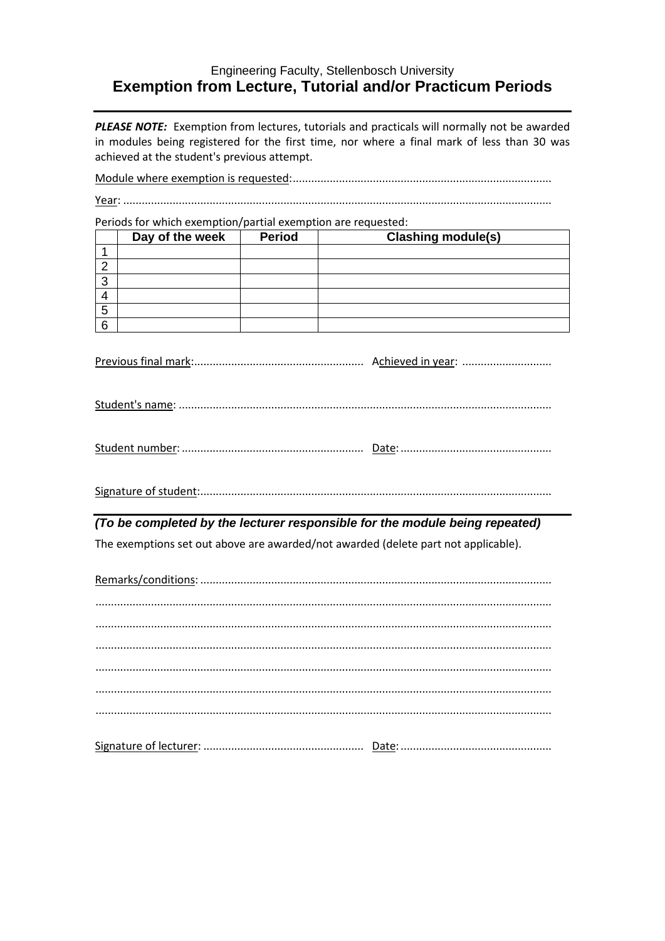## Engineering Faculty, Stellenbosch University **Exemption from Lecture, Tutorial and/or Practicum Periods**

PLEASE NOTE: Exemption from lectures, tutorials and practicals will normally not be awarded in modules being registered for the first time, nor where a final mark of less than 30 was achieved at the student's previous attempt.

Periods for which exemption/partial exemption are requested:

|   | Day of the week | <b>Period</b> | <b>Clashing module(s)</b> |
|---|-----------------|---------------|---------------------------|
|   |                 |               |                           |
|   |                 |               |                           |
| ົ |                 |               |                           |
|   |                 |               |                           |
| 5 |                 |               |                           |
| 6 |                 |               |                           |

|--|

| Student num |
|-------------|
|-------------|

## (To be completed by the lecturer responsible for the module being repeated)

The exemptions set out above are awarded/not awarded (delete part not applicable).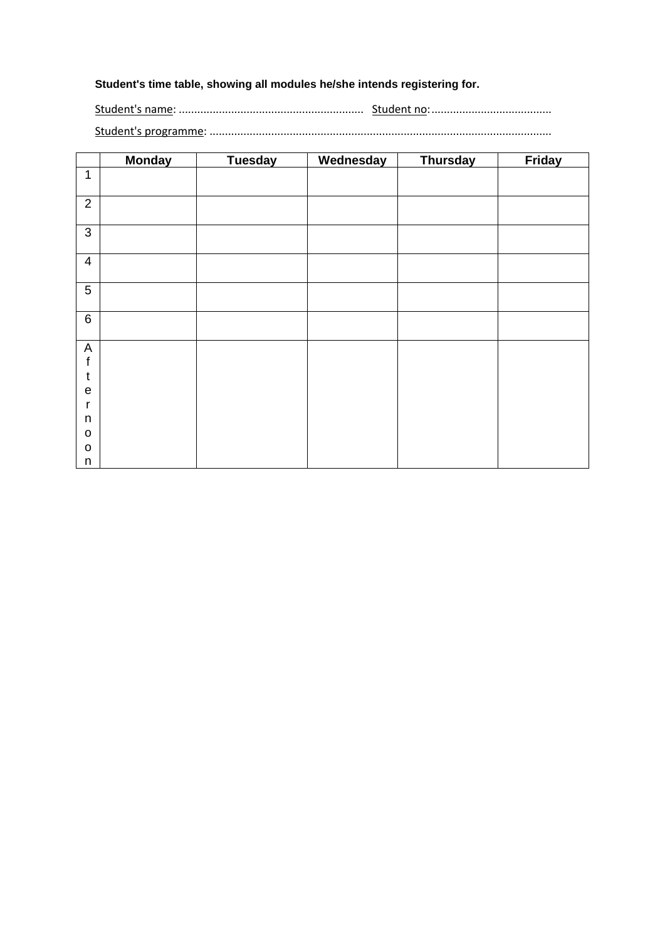# **Student's time table, showing all modules he/she intends registering for.**

Student's name: ............................................................ Student no:.......................................

Student's programme: ...............................................................................................................

|                            | <b>Monday</b> | <b>Tuesday</b> | Wednesday | <b>Thursday</b> | Friday |
|----------------------------|---------------|----------------|-----------|-----------------|--------|
| $\mathbf{1}$               |               |                |           |                 |        |
| $\overline{2}$             |               |                |           |                 |        |
| $\mathfrak{B}$             |               |                |           |                 |        |
| $\overline{4}$             |               |                |           |                 |        |
| $\overline{5}$             |               |                |           |                 |        |
| $\,6\,$                    |               |                |           |                 |        |
| $\mathsf A$<br>$\mathsf f$ |               |                |           |                 |        |
| $\mathfrak t$              |               |                |           |                 |        |
| $\mathbf e$                |               |                |           |                 |        |
| r<br>n                     |               |                |           |                 |        |
| $\mathbf O$                |               |                |           |                 |        |
| $\mathbf O$                |               |                |           |                 |        |
| n                          |               |                |           |                 |        |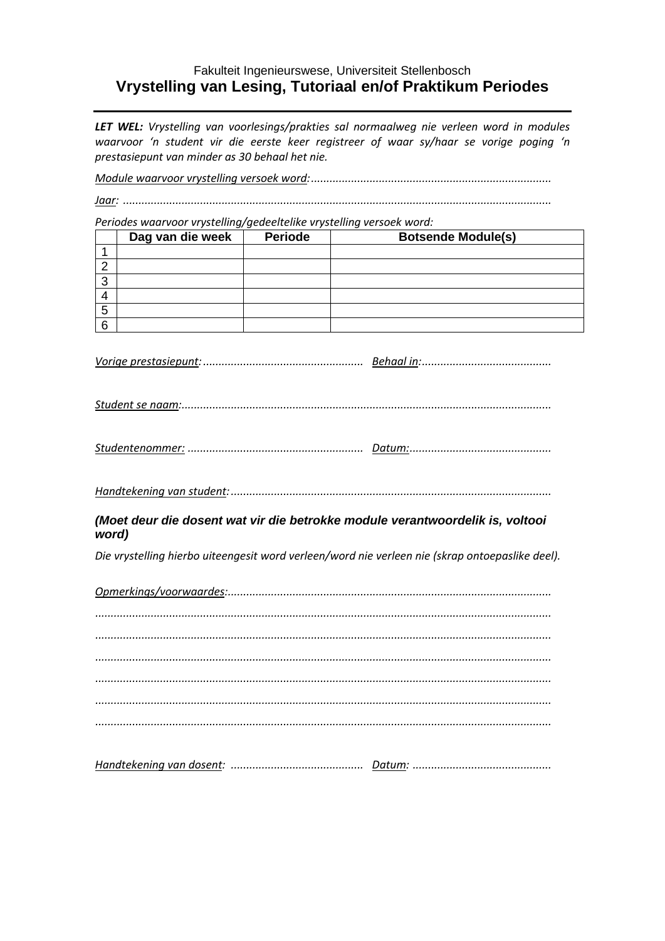## Fakulteit Ingenieurswese, Universiteit Stellenbosch Vrystelling van Lesing, Tutoriaal en/of Praktikum Periodes

LET WEL: Vrystelling van voorlesings/prakties sal normaalweg nie verleen word in modules waarvoor 'n student vir die eerste keer registreer of waar sy/haar se vorige poging 'n prestasiepunt van minder as 30 behaal het nie.

Periodes waarvoor vrystelling/gedeeltelike vrystelling versoek word:

|        | Dag van die week | <b>Periode</b> | <b>Botsende Module(s)</b> |
|--------|------------------|----------------|---------------------------|
|        |                  |                |                           |
| n      |                  |                |                           |
| ◠<br>w |                  |                |                           |
|        |                  |                |                           |
| 5      |                  |                |                           |
| 6      |                  |                |                           |

|--|--|--|

|--|

## (Moet deur die dosent wat vir die betrokke module verantwoordelik is, voltooi word)

Die vrystelling hierbo uiteengesit word verleen/word nie verleen nie (skrap ontoepaslike deel).